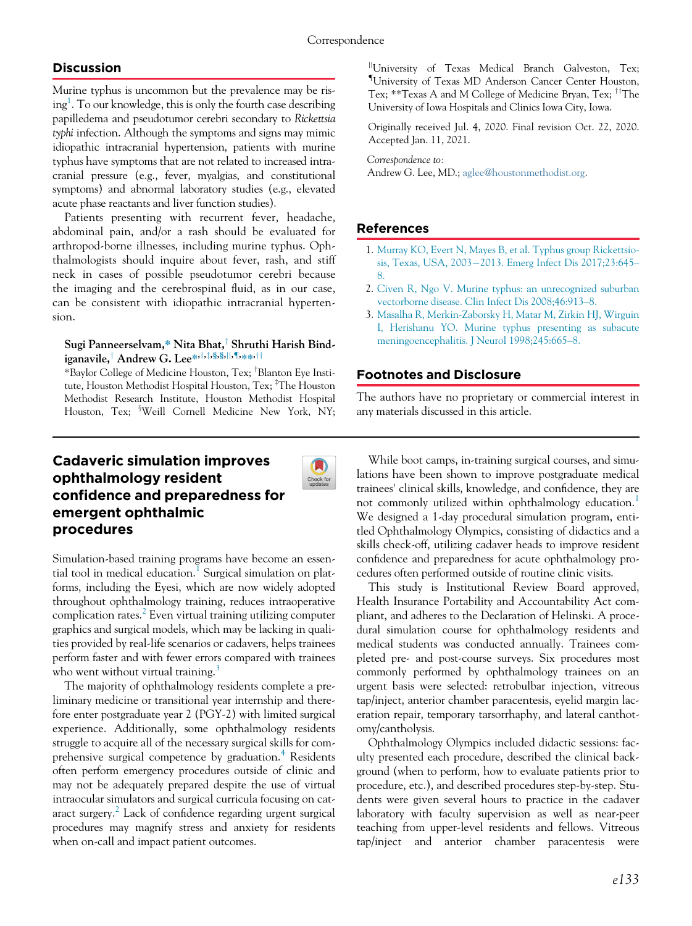## **Discussion**

Murine typhus is uncommon but the prevalence may be ris-ing<sup>[1](#page-0-0)</sup>. To our knowledge, this is only the fourth case describing papilledema and pseudotumor cerebri secondary to Rickettsia typhi infection. Although the symptoms and signs may mimic idiopathic intracranial hypertension, patients with murine typhus have symptoms that are not related to increased intracranial pressure (e.g., fever, myalgias, and constitutional symptoms) and abnormal laboratory studies (e.g., elevated acute phase reactants and liver function studies).

<span id="page-0-0"></span>Patients presenting with recurrent fever, headache, abdominal pain, and/or a rash should be evaluated for arthropod-borne illnesses, including murine typhus. Ophthalmologists should inquire about fever, rash, and stiff neck in cases of possible pseudotumor cerebri because the imaging and the cerebrospinal fluid, as in our case, can be consistent with idiopathic intracranial hypertension.

## Sugi Panneerselvam,\* Nita Bhat,<sup>†</sup> Shruthi Harish Bindiganavile,<sup>†</sup> Andrew G. Lee\*,<sup>†,‡,§,§,||,¶,<sub>\*\*</sub>,††</sup>

\*Baylor College of Medicine Houston, Tex; <sup>†</sup>Blanton Eye Institute, Houston Methodist Hospital Houston, Tex; <sup>‡</sup>The Houston Methodist Research Institute, Houston Methodist Hospital Houston, Tex; <sup>s</sup>Weill Cornell Medicine New York, NY;

# Cadaveric simulation improves ophthalmology resident confidence and preparedness for emergent ophthalmic procedures



Simulation-based training programs have become an essen-tial tool in medical education.<sup>[1](#page-2-0)</sup> Surgical simulation on platforms, including the Eyesi, which are now widely adopted throughout ophthalmology training, reduces intraoperative complication rates. $\frac{2}{x}$  $\frac{2}{x}$  $\frac{2}{x}$  Even virtual training utilizing computer graphics and surgical models, which may be lacking in qualities provided by real-life scenarios or cadavers, helps trainees perform faster and with fewer errors compared with trainees who went without virtual training.

The majority of ophthalmology residents complete a preliminary medicine or transitional year internship and therefore enter postgraduate year 2 (PGY-2) with limited surgical experience. Additionally, some ophthalmology residents struggle to acquire all of the necessary surgical skills for com-prehensive surgical competence by graduation.<sup>[4](#page-2-3)</sup> Residents often perform emergency procedures outside of clinic and may not be adequately prepared despite the use of virtual intraocular simulators and surgical curricula focusing on cataract surgery.[2](#page-2-1) Lack of confidence regarding urgent surgical procedures may magnify stress and anxiety for residents when on-call and impact patient outcomes.

<sup>||</sup>University of Texas Medical Branch Galveston, Tex; { University of Texas MD Anderson Cancer Center Houston, Tex; \*\*Texas A and M College of Medicine Bryan, Tex; <sup>††</sup>The University of Iowa Hospitals and Clinics Iowa City, Iowa.

Originally received Jul. 4, 2020. Final revision Oct. 22, 2020. Accepted Jan. 11, 2021.

Correspondence to:

Andrew G. Lee, MD.; [aglee@houstonmethodist.org.](mailto:aglee@houstonmethodist.org)

## References

- 1. [Murray KO, Evert N, Mayes B, et al. Typhus group Rickettsio](http://refhub.elsevier.com/S0008-4182(21)00020-X/sbref0001_2071)[sis, Texas, USA, 2003](http://refhub.elsevier.com/S0008-4182(21)00020-X/sbref0001_2071)-[2013. Emerg Infect Dis 2017;23:645](http://refhub.elsevier.com/S0008-4182(21)00020-X/sbref0001_2071)– [8.](http://refhub.elsevier.com/S0008-4182(21)00020-X/sbref0001_2071)
- 2. [Civen R, Ngo V. Murine typhus: an unrecognized suburban](http://refhub.elsevier.com/S0008-4182(21)00020-X/sbref0002_2071) [vectorborne disease. Clin Infect Dis 2008;46:913](http://refhub.elsevier.com/S0008-4182(21)00020-X/sbref0002_2071)–8.
- 3. [Masalha R, Merkin-Zaborsky H, Matar M, Zirkin HJ, Wirguin](http://refhub.elsevier.com/S0008-4182(21)00020-X/sbref0003_2071) [I, Herishanu YO. Murine typhus presenting as subacute](http://refhub.elsevier.com/S0008-4182(21)00020-X/sbref0003_2071) [meningoencephalitis. J Neurol 1998;245:665](http://refhub.elsevier.com/S0008-4182(21)00020-X/sbref0003_2071)–8.

#### Footnotes and Disclosure

The authors have no proprietary or commercial interest in any materials discussed in this article.

While boot camps, in-training surgical courses, and simulations have been shown to improve postgraduate medical trainees' clinical skills, knowledge, and confidence, they are not commonly utilized within ophthalmology education.<sup>[1](#page-2-0)</sup> We designed a 1-day procedural simulation program, entitled Ophthalmology Olympics, consisting of didactics and a skills check-off, utilizing cadaver heads to improve resident confidence and preparedness for acute ophthalmology procedures often performed outside of routine clinic visits.

This study is Institutional Review Board approved, Health Insurance Portability and Accountability Act compliant, and adheres to the Declaration of Helinski. A procedural simulation course for ophthalmology residents and medical students was conducted annually. Trainees completed pre- and post-course surveys. Six procedures most commonly performed by ophthalmology trainees on an urgent basis were selected: retrobulbar injection, vitreous tap/inject, anterior chamber paracentesis, eyelid margin laceration repair, temporary tarsorrhaphy, and lateral canthotomy/cantholysis.

Ophthalmology Olympics included didactic sessions: faculty presented each procedure, described the clinical background (when to perform, how to evaluate patients prior to procedure, etc.), and described procedures step-by-step. Students were given several hours to practice in the cadaver laboratory with faculty supervision as well as near-peer teaching from upper-level residents and fellows. Vitreous tap/inject and anterior chamber paracentesis were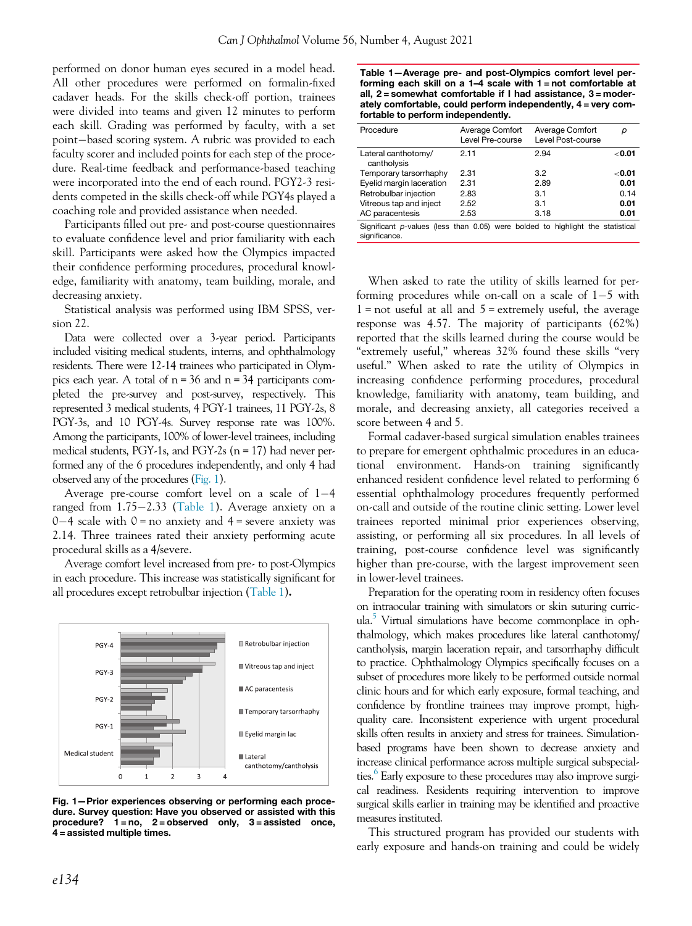<span id="page-1-1"></span>performed on donor human eyes secured in a model head. All other procedures were performed on formalin-fixed cadaver heads. For the skills check-off portion, trainees were divided into teams and given 12 minutes to perform each skill. Grading was performed by faculty, with a set point-based scoring system. A rubric was provided to each faculty scorer and included points for each step of the procedure. Real-time feedback and performance-based teaching were incorporated into the end of each round. PGY2-3 residents competed in the skills check-off while PGY4s played a coaching role and provided assistance when needed.

Participants filled out pre- and post-course questionnaires to evaluate confidence level and prior familiarity with each skill. Participants were asked how the Olympics impacted their confidence performing procedures, procedural knowledge, familiarity with anatomy, team building, morale, and decreasing anxiety.

Statistical analysis was performed using IBM SPSS, version 22.

Data were collected over a 3-year period. Participants included visiting medical students, interns, and ophthalmology residents. There were 12-14 trainees who participated in Olympics each year. A total of  $n = 36$  and  $n = 34$  participants completed the pre-survey and post-survey, respectively. This represented 3 medical students, 4 PGY-1 trainees, 11 PGY-2s, 8 PGY-3s, and 10 PGY-4s. Survey response rate was 100%. Among the participants, 100% of lower-level trainees, including medical students, PGY-1s, and PGY-2s (n = 17) had never performed any of the 6 procedures independently, and only 4 had observed any of the procedures [\(Fig. 1](#page-1-0)).

Average pre-course comfort level on a scale of 1-4 ranged from 1.75-2.33 [\(Table 1\)](#page-1-1). Average anxiety on a  $0-4$  scale with  $0 =$  no anxiety and  $4 =$  severe anxiety was 2.14. Three trainees rated their anxiety performing acute procedural skills as a 4/severe.

Average comfort level increased from pre- to post-Olympics in each procedure. This increase was statistically significant for all procedures except retrobulbar injection [\(Table 1](#page-1-1)).

<span id="page-1-0"></span>

Fig. 1—Prior experiences observing or performing each procedure. Survey question: Have you observed or assisted with this procedure?  $1 = no$ ,  $2 = observed$  only,  $3 = assisted$  once, 4 = assisted multiple times.

Table 1—Average pre- and post-Olympics comfort level performing each skill on a 1–4 scale with 1 = not comfortable at all, 2 = somewhat comfortable if I had assistance, 3 = moderately comfortable, could perform independently, 4 = very comfortable to perform independently.

| Procedure                                                                                       | Average Comfort<br>Level Pre-course | Average Comfort<br>Level Post-course | р             |
|-------------------------------------------------------------------------------------------------|-------------------------------------|--------------------------------------|---------------|
| Lateral canthotomy/<br>cantholysis                                                              | 2.11                                | 2.94                                 | $<$ 0.01      |
| Temporary tarsorrhaphy                                                                          | 2.31                                | 32                                   | $<$ 0.01 $\,$ |
| Eyelid margin laceration                                                                        | 2.31                                | 2.89                                 | 0.01          |
| Retrobulbar injection                                                                           | 2.83                                | 3.1                                  | 0.14          |
| Vitreous tap and inject                                                                         | 2.52                                | 3.1                                  | 0.01          |
| AC paracentesis                                                                                 | 2.53                                | 3.18                                 | 0.01          |
| Significant p-values (less than 0.05) were bolded to highlight the statistical<br>significance. |                                     |                                      |               |

When asked to rate the utility of skills learned for performing procedures while on-call on a scale of 1-5 with  $1 =$  not useful at all and  $5 =$  extremely useful, the average response was 4.57. The majority of participants (62%) reported that the skills learned during the course would be "extremely useful," whereas 32% found these skills "very useful." When asked to rate the utility of Olympics in increasing confidence performing procedures, procedural knowledge, familiarity with anatomy, team building, and morale, and decreasing anxiety, all categories received a score between 4 and 5.

Formal cadaver-based surgical simulation enables trainees to prepare for emergent ophthalmic procedures in an educational environment. Hands-on training significantly enhanced resident confidence level related to performing 6 essential ophthalmology procedures frequently performed on-call and outside of the routine clinic setting. Lower level trainees reported minimal prior experiences observing, assisting, or performing all six procedures. In all levels of training, post-course confidence level was significantly higher than pre-course, with the largest improvement seen in lower-level trainees.

Preparation for the operating room in residency often focuses on intraocular training with simulators or skin suturing curricula.<sup>5</sup> Virtual simulations have become commonplace in ophthalmology, which makes procedures like lateral canthotomy/ cantholysis, margin laceration repair, and tarsorrhaphy difficult to practice. Ophthalmology Olympics specifically focuses on a subset of procedures more likely to be performed outside normal clinic hours and for which early exposure, formal teaching, and confidence by frontline trainees may improve prompt, highquality care. Inconsistent experience with urgent procedural skills often results in anxiety and stress for trainees. Simulationbased programs have been shown to decrease anxiety and increase clinical performance across multiple surgical subspecialties.<sup>6</sup> Early exposure to these procedures may also improve surgical readiness. Residents requiring intervention to improve surgical skills earlier in training may be identified and proactive measures instituted.

This structured program has provided our students with early exposure and hands-on training and could be widely